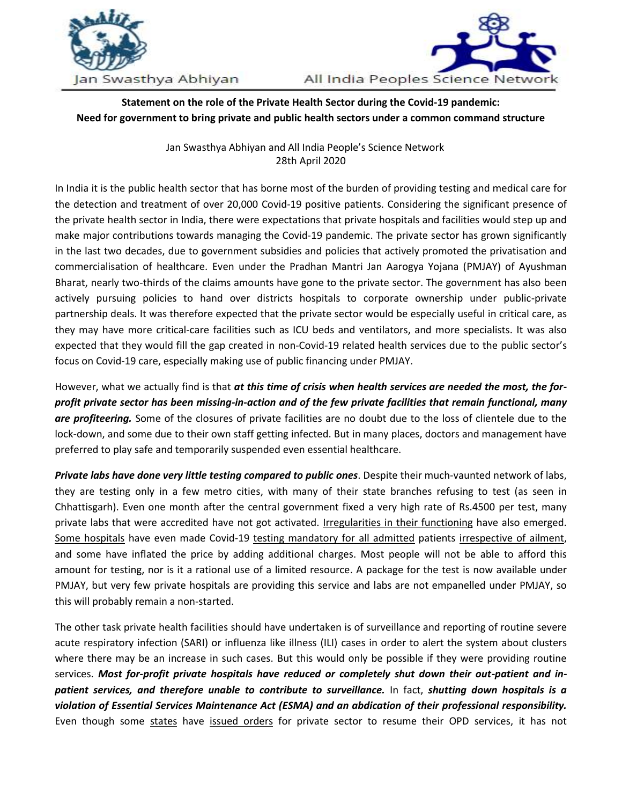



## **Statement on the role of the Private Health Sector during the Covid-19 pandemic: Need for government to bring private and public health sectors under a common command structure**

Jan Swasthya Abhiyan and All India People's Science Network 28th April 2020

In India it is the public health sector that has borne most of the burden of providing testing and medical care for the detection and treatment of over 20,000 Covid-19 positive patients. Considering the significant presence of the private health sector in India, there were expectations that private hospitals and facilities would step up and make major contributions towards managing the Covid-19 pandemic. The private sector has grown significantly in the last two decades, due to government subsidies and policies that actively promoted the privatisation and commercialisation of healthcare. Even under the Pradhan Mantri Jan Aarogya Yojana (PMJAY) of Ayushman Bharat, nearly two-thirds of the claims amounts have gone to the private sector. The government has also been actively pursuing policies to hand over districts hospitals to corporate ownership under public-private partnership deals. It was therefore expected that the private sector would be especially useful in critical care, as they may have more critical-care facilities such as ICU beds and ventilators, and more specialists. It was also expected that they would fill the gap created in non-Covid-19 related health services due to the public sector's focus on Covid-19 care, especially making use of public financing under PMJAY.

However, what we actually find is that *at this time of crisis when health services are needed the most, the forprofit private sector has been missing-in-action and of the few private facilities that remain functional, many are profiteering.* Some of the closures of private facilities are no doubt due to the loss of clientele due to the lock-down, and some due to their own staff getting infected. But in many places, doctors and management have preferred to play safe and temporarily suspended even essential healthcare.

*Private labs have done very little testing compared to public ones*. Despite their much-vaunted network of labs, they are testing only in a few metro cities, with many of their state branches refusing to test (as seen in Chhattisgarh). Even one month after the central government fixed a very high rate of Rs.4500 per test, many private labs that were accredited have not got activated. [Irregularities in their functioning](https://mumbaimirror.indiatimes.com/coronavirus/news/thyrocare-lab-asked-to-stop-testing-over-lapses/articleshow/75416996.cms) have also emerged. [Some hospitals](https://timesofindia.indiatimes.com/india/As-emergency-patients-await-treatment-many-hospitals-insist-on-Covid-19-tests/articleshow/75262116.cms) have even made Covid-19 [testing mandatory for all admitted](https://timesofindia.indiatimes.com/city/delhi/corona-test-must-for-all-admissions-at-max-hosps/articleshow/75170167.cms) patients [irrespective of ailment,](https://timesofindia.indiatimes.com/city/kolkata/pvt-kol-hosps-demand-covid-free-certs/articleshow/75240806.cms) and some have inflated the price by adding additional charges. Most people will not be able to afford this amount for testing, nor is it a rational use of a limited resource. A package for the test is now available under PMJAY, but very few private hospitals are providing this service and labs are not empanelled under PMJAY, so this will probably remain a non-started.

The other task private health facilities should have undertaken is of surveillance and reporting of routine severe acute respiratory infection (SARI) or influenza like illness (ILI) cases in order to alert the system about clusters where there may be an increase in such cases. But this would only be possible if they were providing routine services. *Most for-profit private hospitals have reduced or completely shut down their out-patient and inpatient services, and therefore unable to contribute to surveillance.* In fact, *shutting down hospitals is a violation of Essential Services Maintenance Act (ESMA) and an abdication of their professional responsibility.* Even though some [states](https://www.indiatoday.in/india/story/bihar-government-private-health-institutions-open-facilities-1669469-2020-04-21) have [issued orders](https://indianexpress.com/article/cities/mumbai/mumbai-private-hospitals-asked-to-reopen-opds-6371605/) for private sector to resume their OPD services, it has not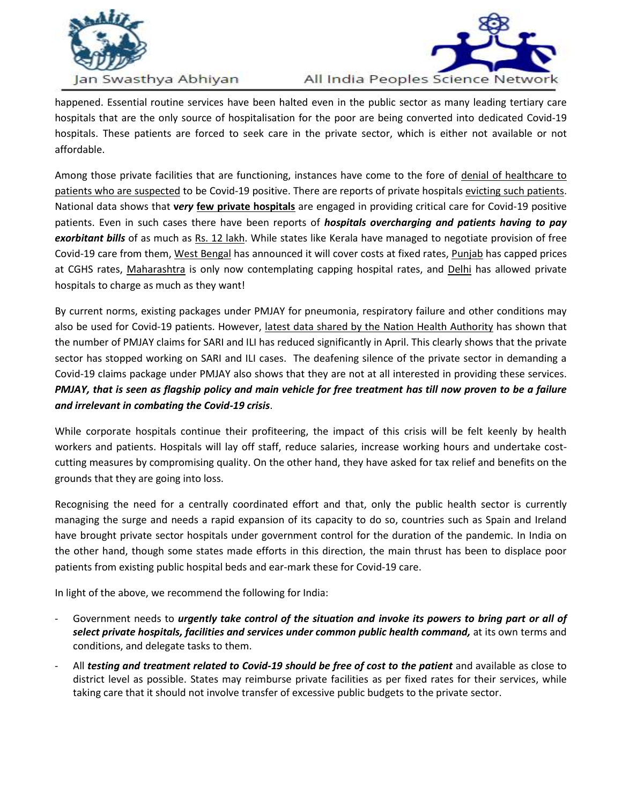



happened. Essential routine services have been halted even in the public sector as many leading tertiary care hospitals that are the only source of hospitalisation for the poor are being converted into dedicated Covid-19 hospitals. These patients are forced to seek care in the private sector, which is either not available or not affordable.

Among those private facilities that are functioning, instances have come to the fore of [denial of healthcare to](https://indianexpress.com/article/cities/mumbai/mumbai-75-yr-old-man-dies-family-says-turned-away-by-12-hospitals-6373298/)  [patients who are suspected](https://indianexpress.com/article/cities/mumbai/mumbai-75-yr-old-man-dies-family-says-turned-away-by-12-hospitals-6373298/) to be Covid-19 positive. There are reports of private hospitals evicting [such patients.](https://scroll.in/article/956672/private-hospital-evicted-suspected-coronavirus-patient-alleges-chhattisgarh-government) National data shows that **v***ery* **[few private hospitals](https://timesofindia.indiatimes.com/india/Private-sector-drafted-but-Covid-19-battle-rests-heavily-on-govt-hospitals/articleshow/75149897.cms)** are engaged in providing critical care for Covid-19 positive patients. Even in such cases there have been reports of *hospitals overcharging and patients having to pay exorbitant bills* of as much as [Rs. 12](https://timesofindia.indiatimes.com/india/insurers-question-high-costs-of-covid-treatment-in-private-hospitals/articleshow/74958254.cms) lakh. While states like Kerala have managed to negotiate provision of free Covid-19 care from them, [West Bengal](https://www.devdiscourse.com/article/health/1021352-wb-govt-directs-private-hospitals-to-provide-free-treatment-to-covid-19-patients) has announced it will cover costs at fixed rates, [Punjab](https://twitter.com/CMOPb/status/1252868180009082880?s=20) has capped prices at CGHS rates, [Maharashtra](https://www.hindustantimes.com/mumbai-news/after-overcharging-plaints-more-price-caps-for-private-hospitals-treating-coronavirus-patients-in-mumbai/story-nWEp0eA68QtPEI0AFy42UJ.html) is only now contemplating capping hospital rates, and [Delhi](https://thewire.in/rights/delhi-government-covid-19-private-hospitals-health-activists) has allowed private hospitals to charge as much as they want!

By current norms, existing packages under PMJAY for pneumonia, respiratory failure and other conditions may also be used for Covid-19 patients. However, [latest data shared by the Nation Health Authority](https://m.timesofindia.com/india/no-post-corona-jump-in-sari-influenza-tally/amp_articleshow/75227995.cms) has shown that the number of PMJAY claims for SARI and ILI has reduced significantly in April. This clearly shows that the private sector has stopped working on SARI and ILI cases. The deafening silence of the private sector in demanding a Covid-19 claims package under PMJAY also shows that they are not at all interested in providing these services. *PMJAY, that is seen as flagship policy and main vehicle for free treatment has till now proven to be a failure and irrelevant in combating the Covid-19 crisis*.

While corporate hospitals continue their profiteering, the impact of this crisis will be felt keenly by health workers and patients. Hospitals will lay off staff, reduce salaries, increase working hours and undertake costcutting measures by compromising quality. On the other hand, they have asked for tax relief and benefits on the grounds that they are going into loss.

Recognising the need for a centrally coordinated effort and that, only the public health sector is currently managing the surge and needs a rapid expansion of its capacity to do so, countries such as Spain and Ireland have brought private sector hospitals under government control for the duration of the pandemic. In India on the other hand, though some states made efforts in this direction, the main thrust has been to displace poor patients from existing public hospital beds and ear-mark these for Covid-19 care.

In light of the above, we recommend the following for India:

- Government needs to *urgently take control of the situation and invoke its powers to bring part or all of select private hospitals, facilities and services under common public health command,* at its own terms and conditions, and delegate tasks to them.
- All *testing and treatment related to Covid-19 should be free of cost to the patient* and available as close to district level as possible. States may reimburse private facilities as per fixed rates for their services, while taking care that it should not involve transfer of excessive public budgets to the private sector.